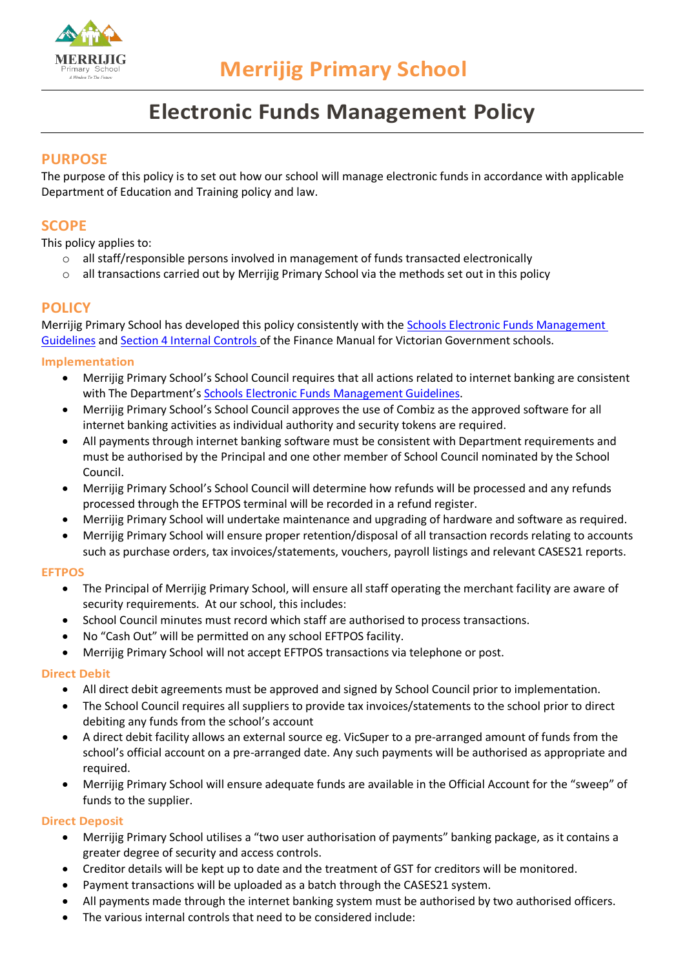

# **Electronic Funds Management Policy**

## **PURPOSE**

The purpose of this policy is to set out how our school will manage electronic funds in accordance with applicable Department of Education and Training policy and law.

# **SCOPE**

This policy applies to:

- o all staff/responsible persons involved in management of funds transacted electronically
- $\circ$  all transactions carried out by Merrijig Primary School via the methods set out in this policy

### **POLICY**

Merrijig Primary School has developed this policy consistently with the [Schools Electronic Funds Management](http://www.education.vic.gov.au/Documents/school/principals/finance/Fin%20Schools%20Electronic%20Funds%20Management%20Guidelines%20V1_2.pdf)  [Guidelines](http://www.education.vic.gov.au/Documents/school/principals/finance/Fin%20Schools%20Electronic%20Funds%20Management%20Guidelines%20V1_2.pdf) and [Section 4 Internal Controls](https://www2.education.vic.gov.au/pal/internal-controls-finance-manual-section-4/policy) of the Finance Manual for Victorian Government schools.

#### **Implementation**

- Merrijig Primary School's School Council requires that all actions related to internet banking are consistent with The Department's [Schools Electronic Funds Management Guidelines.](http://www.education.vic.gov.au/Documents/school/principals/finance/Fin%20Schools%20Electronic%20Funds%20Management%20Guidelines%20V1_2.pdf)
- Merrijig Primary School's School Council approves the use of Combiz as the approved software for all internet banking activities as individual authority and security tokens are required.
- All payments through internet banking software must be consistent with Department requirements and must be authorised by the Principal and one other member of School Council nominated by the School Council.
- Merrijig Primary School's School Council will determine how refunds will be processed and any refunds processed through the EFTPOS terminal will be recorded in a refund register.
- Merrijig Primary School will undertake maintenance and upgrading of hardware and software as required.
- Merrijig Primary School will ensure proper retention/disposal of all transaction records relating to accounts such as purchase orders, tax invoices/statements, vouchers, payroll listings and relevant CASES21 reports.

#### **EFTPOS**

- The Principal of Merrijig Primary School, will ensure all staff operating the merchant facility are aware of security requirements. At our school, this includes:
- School Council minutes must record which staff are authorised to process transactions.
- No "Cash Out" will be permitted on any school EFTPOS facility.
- Merrijig Primary School will not accept EFTPOS transactions via telephone or post.

#### **Direct Debit**

- All direct debit agreements must be approved and signed by School Council prior to implementation.
- The School Council requires all suppliers to provide tax invoices/statements to the school prior to direct debiting any funds from the school's account
- A direct debit facility allows an external source eg. VicSuper to a pre-arranged amount of funds from the school's official account on a pre-arranged date. Any such payments will be authorised as appropriate and required.
- Merrijig Primary School will ensure adequate funds are available in the Official Account for the "sweep" of funds to the supplier.

#### **Direct Deposit**

- Merrijig Primary School utilises a "two user authorisation of payments" banking package, as it contains a greater degree of security and access controls.
- Creditor details will be kept up to date and the treatment of GST for creditors will be monitored.
- Payment transactions will be uploaded as a batch through the CASES21 system.
- All payments made through the internet banking system must be authorised by two authorised officers.
- The various internal controls that need to be considered include: